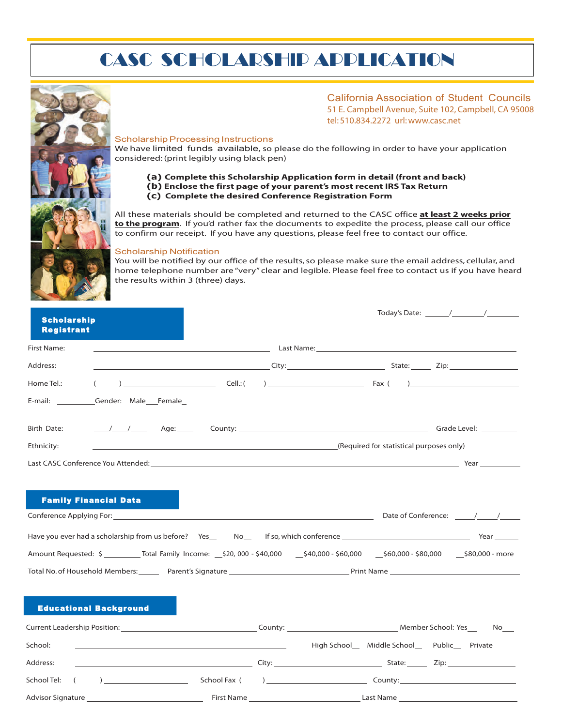# CASC SCHOLARSHIP APPLICATION



### California Association of Student Councils 51 E. Campbell Avenue, Suite 102, Campbell, CA 95008 tel: 510.834.2272 url:www.casc.net

#### Scholarship Processing Instructions

We have limited funds available, so please do the following in order to have your application considered: (print legibly using black pen)

**(a) Complete this Scholarship Application form in detail (front and back) (b) Enclose the first page of your parent's most recent IRS Tax Return (c) Complete the desired Conference Registration Form**

All these materials should be completed and returned to the CASC office **at least 2 weeks prior to the program**. If you'd rather fax the documents to expedite the process, please call our office to confirm our receipt. If you have any questions, please feel free to contact our office.

#### Scholarship Notification

You will be notified by our office of the results, so please make sure the email address, cellular, and home telephone number are "very" clear and legible. Please feel free to contact us if you have heard the results within 3 (three) days.

| <b>Scholarship</b><br><b>Registrant</b> |                                                                                                                                                                                                                                | Today's Date: $\frac{1}{\sqrt{1-\frac{1}{2}}}\frac{1}{\sqrt{1-\frac{1}{2}}}\frac{1}{\sqrt{1-\frac{1}{2}}}\frac{1}{\sqrt{1-\frac{1}{2}}}\frac{1}{\sqrt{1-\frac{1}{2}}}\frac{1}{\sqrt{1-\frac{1}{2}}}\frac{1}{\sqrt{1-\frac{1}{2}}}\frac{1}{\sqrt{1-\frac{1}{2}}}\frac{1}{\sqrt{1-\frac{1}{2}}}\frac{1}{\sqrt{1-\frac{1}{2}}}\frac{1}{\sqrt{1-\frac{1}{2}}}\frac{1}{\sqrt{1-\frac{1}{2}}}\frac{1}{\sqrt{1-\frac{1}{$ |
|-----------------------------------------|--------------------------------------------------------------------------------------------------------------------------------------------------------------------------------------------------------------------------------|--------------------------------------------------------------------------------------------------------------------------------------------------------------------------------------------------------------------------------------------------------------------------------------------------------------------------------------------------------------------------------------------------------------------|
| First Name:                             |                                                                                                                                                                                                                                | <u>and the contract of the contract of the contract of the contract of the contract of the contract of the contract of the contract of the contract of the contract of the contract of the contract of the contract of the contr</u>                                                                                                                                                                               |
| Address:                                |                                                                                                                                                                                                                                | <u>City: City: City: City: City: City: City: City: City: City: City: City: City: City: City: City: City: City: City: City: City: City: City: City: City: City: City: City: City: City: City: City: City: City: City: City: City:</u>                                                                                                                                                                               |
| Home Tel.:<br>$\left($                  |                                                                                                                                                                                                                                |                                                                                                                                                                                                                                                                                                                                                                                                                    |
| E-mail: Gender: Male Female             |                                                                                                                                                                                                                                |                                                                                                                                                                                                                                                                                                                                                                                                                    |
| Birth Date:                             |                                                                                                                                                                                                                                |                                                                                                                                                                                                                                                                                                                                                                                                                    |
| Ethnicity:                              | (Required for statistical purposes only) (All and the contract of the contract of the contract of the contract of the contract of the contract of the contract of the contract of the contract of the contract of the contract |                                                                                                                                                                                                                                                                                                                                                                                                                    |
|                                         |                                                                                                                                                                                                                                |                                                                                                                                                                                                                                                                                                                                                                                                                    |
| <b>Family Financial Data</b>            |                                                                                                                                                                                                                                |                                                                                                                                                                                                                                                                                                                                                                                                                    |
|                                         |                                                                                                                                                                                                                                | Amount Requested: \$ ___________ Total Family Income: __\$20,000 - \$40,000 - \$40,000 - \$60,000 - \$60,000 - \$80,000 - \$80,000 - more                                                                                                                                                                                                                                                                          |
|                                         |                                                                                                                                                                                                                                | Total No. of Household Members: Parent's Signature Prince Area and Print Name                                                                                                                                                                                                                                                                                                                                      |
| <b>Educational Background</b>           |                                                                                                                                                                                                                                |                                                                                                                                                                                                                                                                                                                                                                                                                    |
|                                         |                                                                                                                                                                                                                                | Current Leadership Position: Monthlyne County: Member School: Yes No                                                                                                                                                                                                                                                                                                                                               |
| School:                                 | <u> 1989 - Johann Harry Harry Harry Harry Harry Harry Harry Harry Harry Harry Harry Harry Harry Harry Harry Harry</u>                                                                                                          | High School Middle School Public Private                                                                                                                                                                                                                                                                                                                                                                           |
| Address:                                | City:<br>the control of the control of the control of the control of the control of the control of                                                                                                                             | State:<br>Zip:<br><u> 1989 - John Stein, Amerikaansk politiker (</u>                                                                                                                                                                                                                                                                                                                                               |

# Advisor Signature **First Name First Name First Name Last Name Last Name Last Name Last Name Last Name Last Name Last Name Last Name Last Name Last Name Last Name Last Name Last Name Last Nam**

 $School Tel:$  ( )  $\qquad \qquad$  School Fax ( )  $\qquad \qquad$  County: